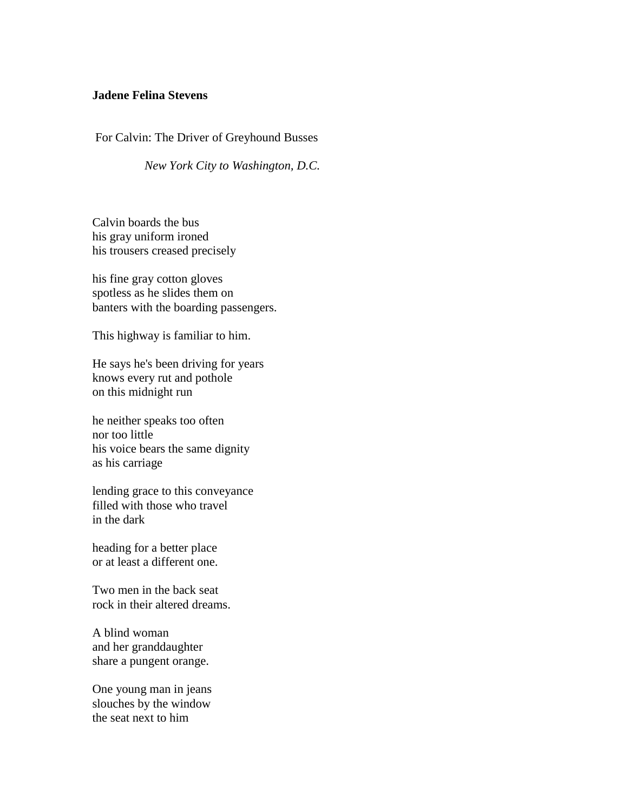## **Jadene Felina Stevens**

For Calvin: The Driver of Greyhound Busses

 *New York City to Washington, D.C.* 

Calvin boards the bus his gray uniform ironed his trousers creased precisely

his fine gray cotton gloves spotless as he slides them on banters with the boarding passengers.

This highway is familiar to him.

He says he's been driving for years knows every rut and pothole on this midnight run

he neither speaks too often nor too little his voice bears the same dignity as his carriage

lending grace to this conveyance filled with those who travel in the dark

heading for a better place or at least a different one.

Two men in the back seat rock in their altered dreams.

A blind woman and her granddaughter share a pungent orange.

One young man in jeans slouches by the window the seat next to him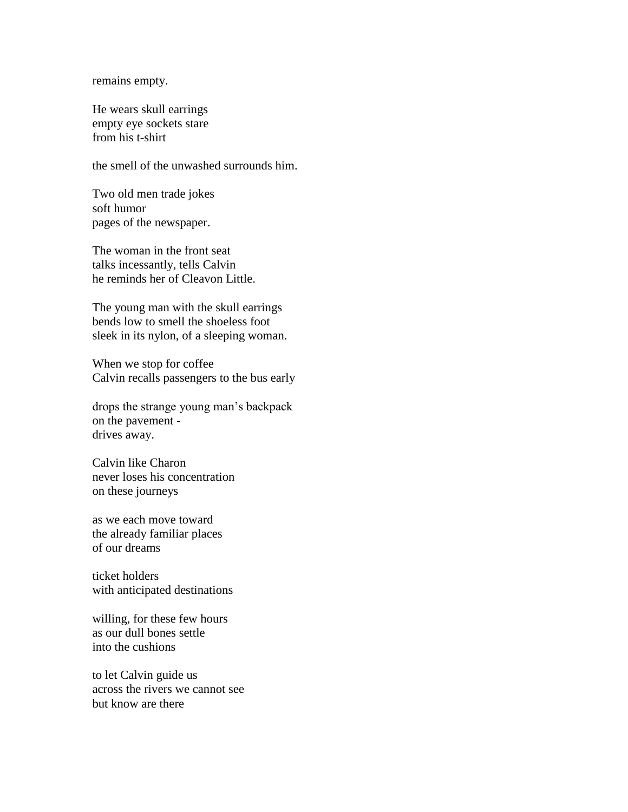remains empty.

He wears skull earrings empty eye sockets stare from his t-shirt

the smell of the unwashed surrounds him.

Two old men trade jokes soft humor pages of the newspaper.

The woman in the front seat talks incessantly, tells Calvin he reminds her of Cleavon Little.

The young man with the skull earrings bends low to smell the shoeless foot sleek in its nylon, of a sleeping woman.

When we stop for coffee Calvin recalls passengers to the bus early

drops the strange young man's backpack on the pavement drives away.

Calvin like Charon never loses his concentration on these journeys

as we each move toward the already familiar places of our dreams

ticket holders with anticipated destinations

willing, for these few hours as our dull bones settle into the cushions

to let Calvin guide us across the rivers we cannot see but know are there